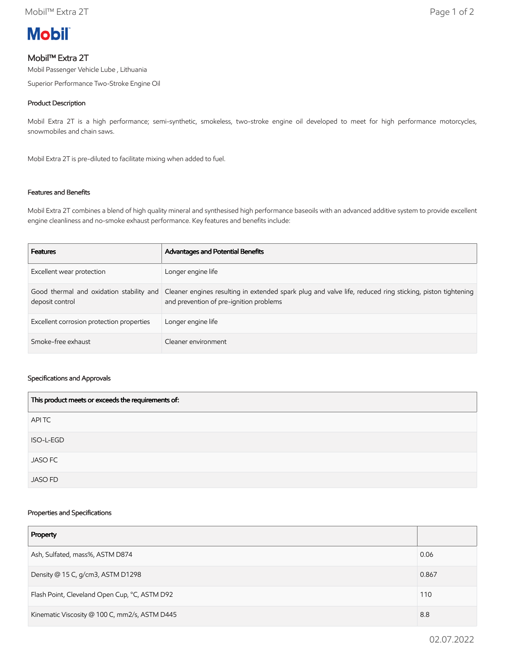

# Mobil™ Extra 2T

Mobil Passenger Vehicle Lube , Lithuania

Superior Performance Two-Stroke Engine Oil

## Product Description

Mobil Extra 2T is a high performance; semi-synthetic, smokeless, two-stroke engine oil developed to meet for high performance motorcycles, snowmobiles and chain saws.

Mobil Extra 2T is pre-diluted to facilitate mixing when added to fuel.

## Features and Benefits

Mobil Extra 2T combines a blend of high quality mineral and synthesised high performance baseoils with an advanced additive system to provide excellent engine cleanliness and no-smoke exhaust performance. Key features and benefits include:

| <b>Features</b>                           | Advantages and Potential Benefits                                                                                                                                                             |
|-------------------------------------------|-----------------------------------------------------------------------------------------------------------------------------------------------------------------------------------------------|
| Excellent wear protection                 | Longer engine life                                                                                                                                                                            |
| deposit control                           | Good thermal and oxidation stability and Cleaner engines resulting in extended spark plug and valve life, reduced ring sticking, piston tightening<br>and prevention of pre-ignition problems |
| Excellent corrosion protection properties | Longer engine life                                                                                                                                                                            |
| Smoke-free exhaust                        | Cleaner environment                                                                                                                                                                           |

#### Specifications and Approvals

| This product meets or exceeds the requirements of: |  |
|----------------------------------------------------|--|
| APITC                                              |  |
| ISO-L-EGD                                          |  |
| <b>JASO FC</b>                                     |  |
| <b>JASO FD</b>                                     |  |

### Properties and Specifications

| Property                                      |       |
|-----------------------------------------------|-------|
| Ash, Sulfated, mass%, ASTM D874               | 0.06  |
| Density @ 15 C, g/cm3, ASTM D1298             | 0.867 |
| Flash Point, Cleveland Open Cup, °C, ASTM D92 | 110   |
| Kinematic Viscosity @ 100 C, mm2/s, ASTM D445 |       |